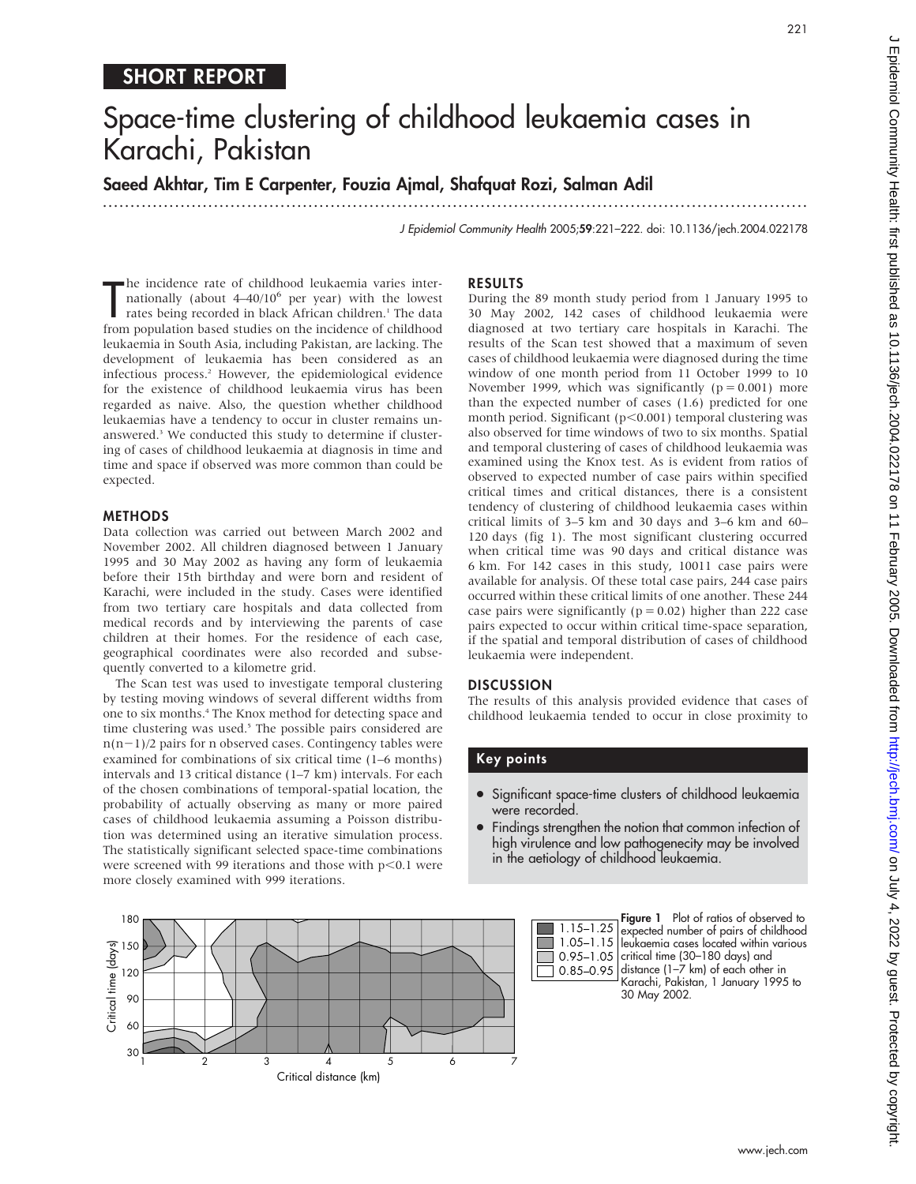## SHORT REPORT

# Space-time clustering of childhood leukaemia cases in Karachi, Pakistan

## Saeed Akhtar, Tim E Carpenter, Fouzia Ajmal, Shafquat Rozi, Salman Adil

...............................................................................................................................

J Epidemiol Community Health 2005;59:221–222. doi: 10.1136/jech.2004.022178

The incidence rate of childhood leukaemia varies inter-<br>nationally (about 4–40/10<sup>6</sup> per year) with the lowest<br>rates being recorded in black African children.<sup>1</sup> The data<br>from population based studies on the incidence of c he incidence rate of childhood leukaemia varies internationally (about  $4-40/10^6$  per year) with the lowest rates being recorded in black African children.<sup>1</sup> The data leukaemia in South Asia, including Pakistan, are lacking. The development of leukaemia has been considered as an infectious process.<sup>2</sup> However, the epidemiological evidence for the existence of childhood leukaemia virus has been regarded as naive. Also, the question whether childhood leukaemias have a tendency to occur in cluster remains unanswered.<sup>3</sup> We conducted this study to determine if clustering of cases of childhood leukaemia at diagnosis in time and time and space if observed was more common than could be expected.

#### METHODS

Data collection was carried out between March 2002 and November 2002. All children diagnosed between 1 January 1995 and 30 May 2002 as having any form of leukaemia before their 15th birthday and were born and resident of Karachi, were included in the study. Cases were identified from two tertiary care hospitals and data collected from medical records and by interviewing the parents of case children at their homes. For the residence of each case, geographical coordinates were also recorded and subsequently converted to a kilometre grid.

The Scan test was used to investigate temporal clustering by testing moving windows of several different widths from one to six months.4 The Knox method for detecting space and time clustering was used.<sup>5</sup> The possible pairs considered are  $n(n-1)/2$  pairs for n observed cases. Contingency tables were examined for combinations of six critical time (1–6 months) intervals and 13 critical distance (1–7 km) intervals. For each of the chosen combinations of temporal-spatial location, the probability of actually observing as many or more paired cases of childhood leukaemia assuming a Poisson distribution was determined using an iterative simulation process. The statistically significant selected space-time combinations were screened with 99 iterations and those with  $p<0.1$  were more closely examined with 999 iterations.

#### 180 150 120 90 30 60 4 5 6 7 Critical distance (km) Critical time (days) 1 2 3

#### RESULTS

During the 89 month study period from 1 January 1995 to 30 May 2002, 142 cases of childhood leukaemia were diagnosed at two tertiary care hospitals in Karachi. The results of the Scan test showed that a maximum of seven cases of childhood leukaemia were diagnosed during the time window of one month period from 11 October 1999 to 10 November 1999, which was significantly ( $p = 0.001$ ) more than the expected number of cases (1.6) predicted for one month period. Significant ( $p<0.001$ ) temporal clustering was also observed for time windows of two to six months. Spatial and temporal clustering of cases of childhood leukaemia was examined using the Knox test. As is evident from ratios of observed to expected number of case pairs within specified critical times and critical distances, there is a consistent tendency of clustering of childhood leukaemia cases within critical limits of 3–5 km and 30 days and 3–6 km and 60– 120 days (fig 1). The most significant clustering occurred when critical time was 90 days and critical distance was 6 km. For 142 cases in this study, 10011 case pairs were available for analysis. Of these total case pairs, 244 case pairs occurred within these critical limits of one another. These 244 case pairs were significantly ( $p = 0.02$ ) higher than 222 case pairs expected to occur within critical time-space separation, if the spatial and temporal distribution of cases of childhood leukaemia were independent.

#### **DISCUSSION**

The results of this analysis provided evidence that cases of childhood leukaemia tended to occur in close proximity to

#### Key points

- Significant space-time clusters of childhood leukaemia were recorded.
- Findings strengthen the notion that common infection of high virulence and low pathogenecity may be involved in the aetiology of childhood leukaemia.



Figure 1 Plot of ratios of observed to expected number of pairs of childhood leukaemia cases located within various critical time (30–180 days) and distance (1–7 km) of each other in Karachi, Pakistan, 1 January 1995 to 30 May 2002.